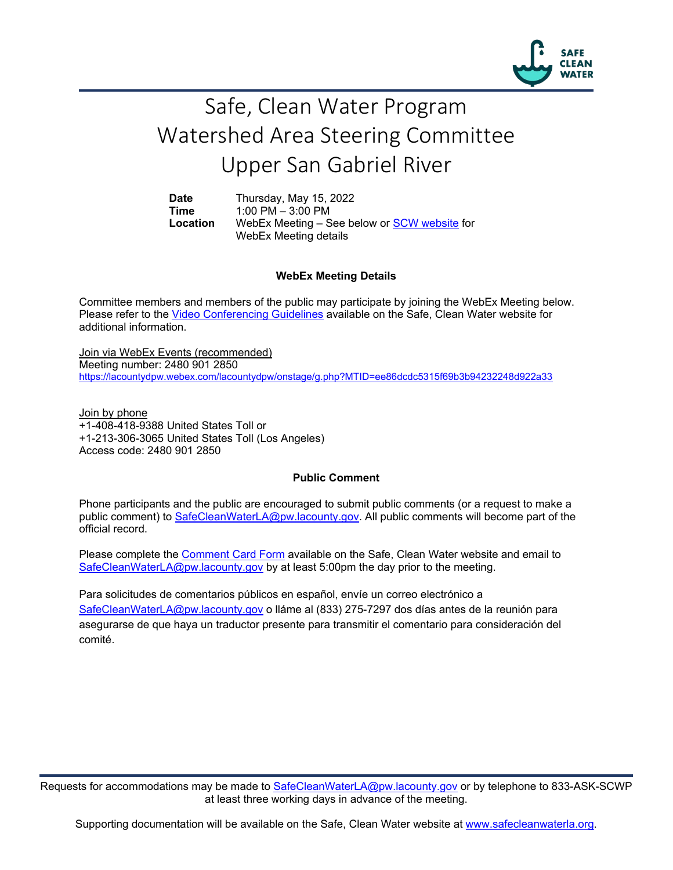

## Safe, Clean Water Program Watershed Area Steering Committee Upper San Gabriel River

**Date** Thursday, May 15, 2022<br> **Time** 1:00 PM – 3:00 PM **Time** 1:00 PM – 3:00 PM<br>**Location** WebEx Meeting – S WebEx Meeting – See below or **SCW** website for WebEx Meeting details

## **WebEx Meeting Details**

Committee members and members of the public may participate by joining the WebEx Meeting below. Please refer to the [Video Conferencing Guidelines](https://safecleanwaterla.org/video-conference-guidelines/) available on the Safe, Clean Water website for additional information.

Join via WebEx Events (recommended) Meeting number: 2480 901 2850 <https://lacountydpw.webex.com/lacountydpw/onstage/g.php?MTID=ee86dcdc5315f69b3b94232248d922a33>

Join by phone +1-408-418-9388 United States Toll or +1-213-306-3065 United States Toll (Los Angeles) Access code: 2480 901 2850

## **Public Comment**

Phone participants and the public are encouraged to submit public comments (or a request to make a public comment) to [SafeCleanWaterLA@pw.lacounty.gov.](mailto:SafeCleanWaterLA@pw.lacounty.gov) All public comments will become part of the official record.

Please complete the Comment [Card Form](https://safecleanwaterla.org/wp-content/uploads/2020/04/Comment-Card-Form.pdf) available on the Safe, Clean Water website and email to [SafeCleanWaterLA@pw.lacounty.gov](mailto:SafeCleanWaterLA@pw.lacounty.govb) by at least 5:00pm the day prior to the meeting.

Para solicitudes de comentarios públicos en español, envíe un correo electrónico a [SafeCleanWaterLA@pw.lacounty.gov](mailto:SafeCleanWaterLA@pw.lacounty.gov) o lláme al (833) 275-7297 dos días antes de la reunión para asegurarse de que haya un traductor presente para transmitir el comentario para consideración del comité.

Requests for accommodations may be made to [SafeCleanWaterLA@pw.lacounty.gov](mailto:SafeCleanWaterLA@pw.lacounty.gov) or by telephone to 833-ASK-SCWP at least three working days in advance of the meeting.

Supporting documentation will be available on the Safe, Clean Water website at [www.safecleanwaterla.org.](http://www.safecleanwaterla.org/)